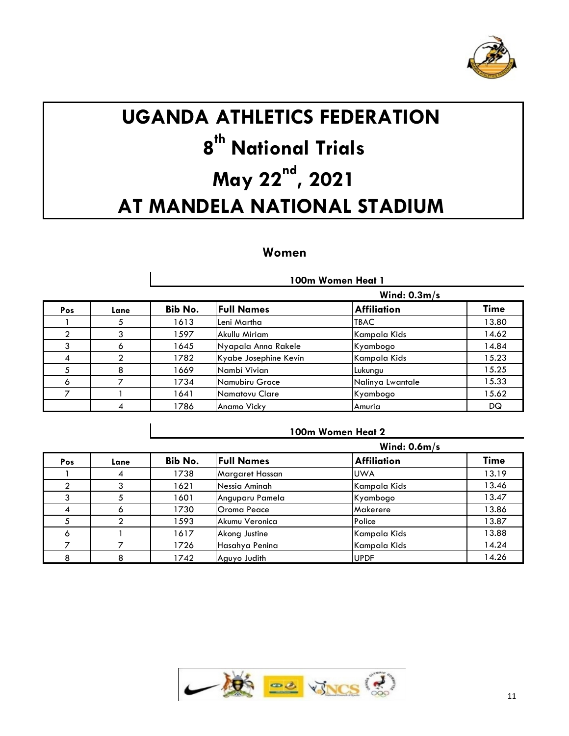

# **UGANDA ATHLETICS FEDERATION th National Trials**  $\mathbf{May\ 22}^{\mathbf{nd}}$ , 2021 **AT MANDELA NATIONAL STADIUM**

# **Women**

 $\mathbf{I}$ 

|                |              |                | 100m Women Heat 1     |                    |             |  |  |  |
|----------------|--------------|----------------|-----------------------|--------------------|-------------|--|--|--|
|                |              | Wind: $0.3m/s$ |                       |                    |             |  |  |  |
| Pos            | Lane         | Bib No.        | <b>Full Names</b>     | <b>Affiliation</b> | <b>Time</b> |  |  |  |
|                |              | 1613           | Leni Martha           | <b>TBAC</b>        | 13.80       |  |  |  |
|                |              | 1597           | Akullu Miriam         | Kampala Kids       | 14.62       |  |  |  |
| 3              | <sub>n</sub> | 1645           | Nyapala Anna Rakele   | Kyambogo           | 14.84       |  |  |  |
| $\overline{A}$ |              | 1782           | Kyabe Josephine Kevin | Kampala Kids       | 15.23       |  |  |  |
| 5              | 8            | 1669           | Nambi Vivian          | Lukungu            | 15.25       |  |  |  |
| <sup>o</sup>   |              | 1734           | Namubiru Grace        | Nalinya Lwantale   | 15.33       |  |  |  |
|                |              | 1641           | Namatovu Clare        | Kyambogo           | 15.62       |  |  |  |
|                |              | 1786           | Anamo Vicky           | Amuria             | DQ          |  |  |  |

#### **100m Women Heat 2**

|     |      |         | Wind: $0.6m/s$    |                    |             |  |
|-----|------|---------|-------------------|--------------------|-------------|--|
| Pos | Lane | Bib No. | <b>Full Names</b> | <b>Affiliation</b> | <b>Time</b> |  |
|     |      | 1738    | Margaret Hassan   | <b>UWA</b>         | 13.19       |  |
|     |      | 1621    | Nessia Aminah     | Kampala Kids       | 13.46       |  |
|     |      | 1601    | Anguparu Pamela   | Kyambogo           | 13.47       |  |
|     |      | 1730    | Oroma Peace       | Makerere           | 13.86       |  |
|     |      | 1593    | Akumu Veronica    | Police             | 13.87       |  |
| O   |      | 1617    | Akong Justine     | Kampala Kids       | 13.88       |  |
|     |      | 1726    | Hasahya Penina    | Kampala Kids       | 14.24       |  |
|     |      | 1742    | Aguyo Judith      | <b>UPDF</b>        | 14.26       |  |

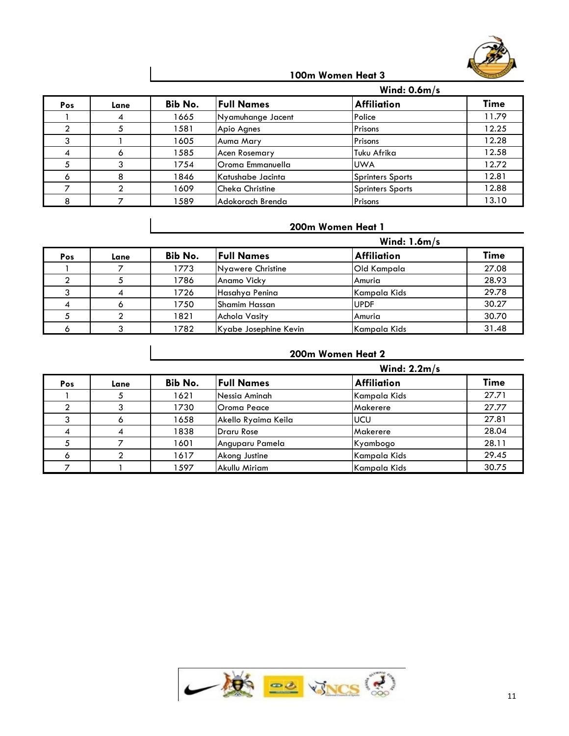

#### **100m Women Heat 3**

|     |      |         | Wind: $0.6m/s$         |                         |             |  |  |
|-----|------|---------|------------------------|-------------------------|-------------|--|--|
| Pos | Lane | Bib No. | <b>Full Names</b>      | <b>Affiliation</b>      | <b>Time</b> |  |  |
|     |      | 1665    | Nyamuhange Jacent      | Police                  | 11.79       |  |  |
|     |      | 1581    | Apio Agnes             | Prisons                 | 12.25       |  |  |
|     |      | 1605    | Auma Mary              | Prisons                 | 12.28       |  |  |
|     |      | 1585    | <b>Acen Rosemary</b>   | Tuku Afrika             | 12.58       |  |  |
|     |      | 1754    | Oroma Emmanuella       | <b>UWA</b>              | 12.72       |  |  |
|     |      | 1846    | Katushabe Jacinta      | <b>Sprinters Sports</b> | 12.81       |  |  |
|     |      | 1609    | <b>Cheka Christine</b> | <b>Sprinters Sports</b> | 12.88       |  |  |
|     |      | 1589    | Adokorach Brenda       | Prisons                 | 13.10       |  |  |

# **200m Women Heat 1**

|     |      |         |                       |                    | Wind: $1.6m/s$ |  |  |
|-----|------|---------|-----------------------|--------------------|----------------|--|--|
| Pos | Lane | Bib No. | <b>Full Names</b>     | <b>Affiliation</b> | <b>Time</b>    |  |  |
|     |      | 1773    | Nyawere Christine     | Old Kampala        | 27.08          |  |  |
|     |      | 1786    | Anamo Vicky           | Amuria             | 28.93          |  |  |
|     |      | 1726    | Hasahya Penina        | Kampala Kids       | 29.78          |  |  |
|     |      | 1750    | <b>Shamim Hassan</b>  | <b>UPDF</b>        | 30.27          |  |  |
|     |      | 1821    | Achola Vasity         | Amuria             | 30.70          |  |  |
|     |      | 1782    | Kyabe Josephine Kevin | Kampala Kids       | 31.48          |  |  |

# **200m Women Heat 2**

|     |      |         | Wind: $2.2m/s$      |                    |             |  |  |
|-----|------|---------|---------------------|--------------------|-------------|--|--|
| Pos | Lane | Bib No. | <b>Full Names</b>   | <b>Affiliation</b> | <b>Time</b> |  |  |
|     |      | 1621    | Nessia Aminah       | Kampala Kids       | 27.71       |  |  |
|     |      | 1730    | Oroma Peace         | Makerere           | 27.77       |  |  |
|     |      | 1658    | Akello Ryaima Keila | UCU                | 27.81       |  |  |
|     |      | 1838    | Draru Rose          | Makerere           | 28.04       |  |  |
|     |      | 1601    | Anguparu Pamela     | Kyambogo           | 28.11       |  |  |
|     |      | 1617    | Akong Justine       | Kampala Kids       | 29.45       |  |  |
|     |      | 1597    | Akullu Miriam       | Kampala Kids       | 30.75       |  |  |

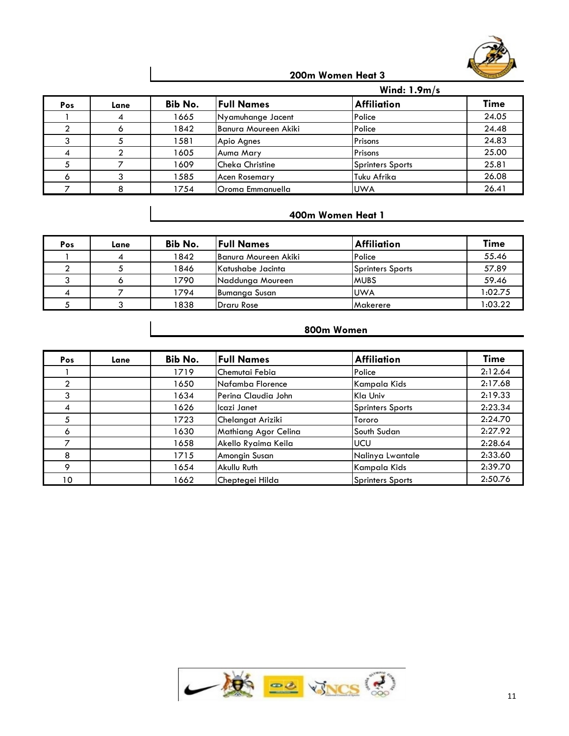

#### **200m Women Heat 3**

|     |      |         | Wind: $1.9m/s$         |                         |             |  |  |
|-----|------|---------|------------------------|-------------------------|-------------|--|--|
| Pos | Lane | Bib No. | <b>Full Names</b>      | <b>Affiliation</b>      | <b>Time</b> |  |  |
|     |      | 1665    | Nyamuhange Jacent      | Police                  | 24.05       |  |  |
|     |      | 1842    | Banura Moureen Akiki   | Police                  | 24.48       |  |  |
|     |      | 1581    | Apio Agnes             | Prisons                 | 24.83       |  |  |
|     |      | 1605    | Auma Mary              | Prisons                 | 25.00       |  |  |
|     |      | 1609    | <b>Cheka Christine</b> | <b>Sprinters Sports</b> | 25.81       |  |  |
|     |      | 1585    | <b>Acen Rosemary</b>   | Tuku Afrika             | 26.08       |  |  |
|     |      | 1754    | Oroma Emmanuella       | <b>UWA</b>              | 26.41       |  |  |

# **400m Women Heat 1**

| Pos | Lane | <b>Bib No.</b> | <b>Full Names</b>    | <b>Affiliation</b>      | <b>Time</b> |
|-----|------|----------------|----------------------|-------------------------|-------------|
|     |      | 1842           | Banura Moureen Akiki | Police                  | 55.46       |
|     |      | 1846           | Katushabe Jacinta    | <b>Sprinters Sports</b> | 57.89       |
|     |      | 1790           | Naddunga Moureen     | <b>MUBS</b>             | 59.46       |
|     |      | 1794           | Bumanga Susan        | <b>UWA</b>              | 1:02.75     |
|     |      | 1838           | Draru Rose           | Makerere                | :03.22      |

#### **800m Women**

| Pos     | Lane | Bib No. | <b>Full Names</b>    | <b>Affiliation</b>      | <b>Time</b> |
|---------|------|---------|----------------------|-------------------------|-------------|
|         |      | 1719    | Chemutai Febia       | Police                  | 2:12.64     |
|         |      | 1650    | Nafamba Florence     | Kampala Kids            | 2:17.68     |
| 3       |      | 1634    | Perina Claudia John  | Kla Univ                | 2:19.33     |
| 4       |      | 1626    | Icazi Janet          | <b>Sprinters Sports</b> | 2:23.34     |
|         |      | 1723    | Chelangat Ariziki    | Tororo                  | 2:24.70     |
| O       |      | 1630    | Mathiang Agor Celina | South Sudan             | 2:27.92     |
|         |      | 1658    | Akello Ryaima Keila  | <b>UCU</b>              | 2:28.64     |
| 8       |      | 1715    | Amongin Susan        | Nalinya Lwantale        | 2:33.60     |
| $\circ$ |      | 1654    | Akullu Ruth          | Kampala Kids            | 2:39.70     |
| 10      |      | 1662    | Cheptegei Hilda      | <b>Sprinters Sports</b> | 2:50.76     |

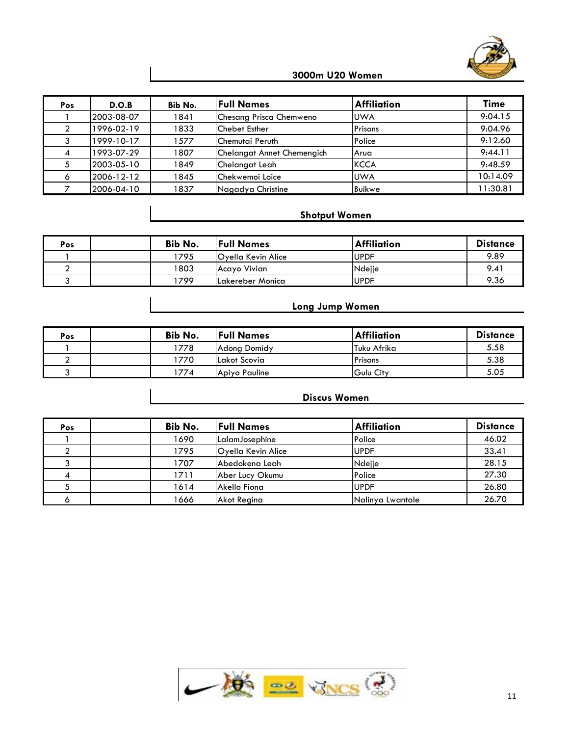

#### **3000m U20 Women**

| Pos | D.O.B      | Bib No. | <b>Full Names</b>          | <b>Affiliation</b> | Time     |
|-----|------------|---------|----------------------------|--------------------|----------|
|     | 2003-08-07 | 1841    | Chesang Prisca Chemweno    | <b>UWA</b>         | 9:04.15  |
|     | 1996-02-19 | 1833    | <b>Chebet Esther</b>       | Prisons            | 9:04.96  |
|     | 1999-10-17 | 1577    | Chemutai Peruth            | Police             | 9:12.60  |
|     | 1993-07-29 | 1807    | Chelangat Annet Chemengich | <b>Arua</b>        | 9:44.11  |
|     | 2003-05-10 | 1849    | Chelangat Leah             | <b>KCCA</b>        | 9:48.59  |
| O   | 2006-12-12 | 1845    | Chekwemoi Loice            | <b>UWA</b>         | 10:14.09 |
|     | 2006-04-10 | 1837    | Nagadya Christine          | <b>Buikwe</b>      | 1:30.81  |

#### **Shotput Women**

| Pos | Bib No. | <b>Full Names</b>         | <b>Affiliation</b> | <b>Distance</b> |
|-----|---------|---------------------------|--------------------|-----------------|
|     | 1795    | <b>Oyella Kevin Alice</b> | <b>UPDF</b>        | 9.89            |
|     | 1803    | Acayo Vivian              | Ndejje             | 9.41            |
|     | 799     | ILakereber Monica         | <b>UPDF</b>        | 9.36            |

#### **Long Jump Women**

| Pos | <b>Bib No.</b> | <b>Full Names</b>   | <b>Affiliation</b> | <b>Distance</b> |
|-----|----------------|---------------------|--------------------|-----------------|
|     | 1778           | <b>Adona Domidy</b> | Tuku Afrika        | 5.58            |
|     | '770           | Lakot Scovia        | Prisons            | 5.38            |
|     | 774            | Apiyo Pauline       | Gulu City          | 5.05            |

#### **Discus Women**

| Pos | Bib No. | <b>Full Names</b>  | <b>Affiliation</b> | <b>Distance</b> |
|-----|---------|--------------------|--------------------|-----------------|
|     | 1690    | LalamJosephine     | Police             | 46.02           |
|     | 1795    | Oyella Kevin Alice | <b>UPDF</b>        | 33.41           |
|     | 1707    | Abedokena Leah     | Ndejje             | 28.15           |
|     | 1711    | Aber Lucy Okumu    | Police             | 27.30           |
|     | 1614    | Akello Fiona       | <b>UPDF</b>        | 26.80           |
|     | 1666    | Akot Reaina        | Nalinya Lwantale   | 26.70           |

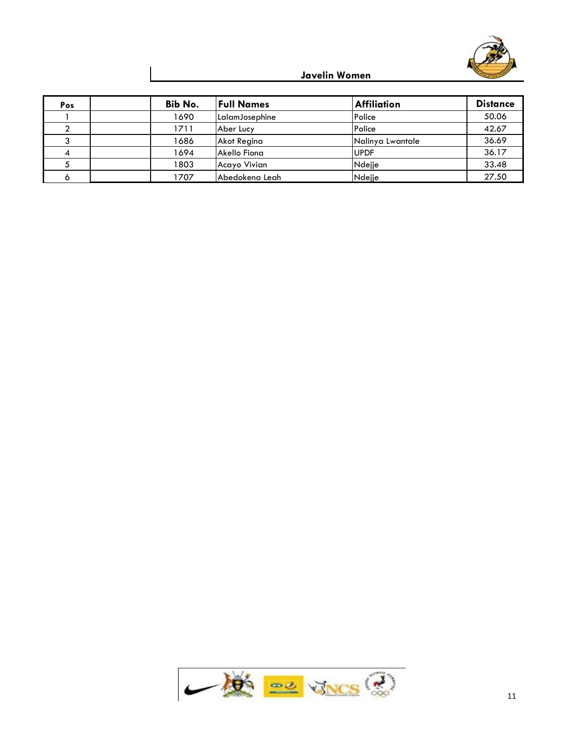

# **Javelin Women**

| Pos | Bib No. | <b>Full Names</b> | <b>Affiliation</b> | <b>Distance</b> |
|-----|---------|-------------------|--------------------|-----------------|
|     | 1690    | LalamJosephine    | Police             | 50.06           |
|     | 1711    | Aber Lucy         | Police             | 42.67           |
|     | 1686    | Akot Regina       | Nalinya Lwantale   | 36.69           |
|     | 1694    | Akello Fiona      | <b>UPDF</b>        | 36.17           |
|     | 1803    | Acayo Vivian      | Ndejje             | 33.48           |
|     | 1707    | Abedokena Leah    | Ndejje             | 27.50           |

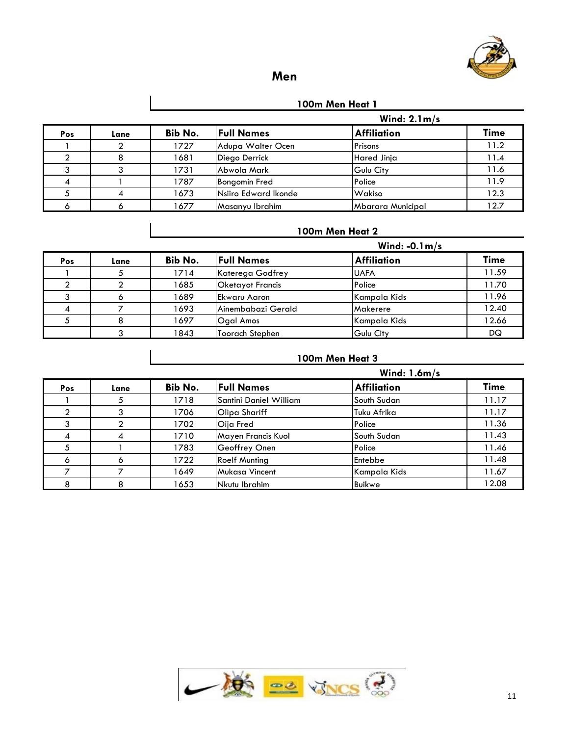

# **Men**

**100m Men Heat 1**

|     |      |         |                      | Wind: $2.1 m/s$          |             |  |
|-----|------|---------|----------------------|--------------------------|-------------|--|
| Pos | Lane | Bib No. | <b>Full Names</b>    | <b>Affiliation</b>       | <b>Time</b> |  |
|     |      | 1727    | Adupa Walter Ocen    | Prisons                  | 11.2        |  |
|     |      | 1681    | Diego Derrick        | <b>Hared Jinja</b>       | 11.4        |  |
|     |      | 1731    | Abwola Mark          | Gulu City                | 11.6        |  |
|     |      | 1787    | <b>Bongomin Fred</b> | Police                   | 11.9        |  |
|     |      | 1673    | Nsiiro Edward Ikonde | Wakiso                   | 12.3        |  |
|     |      | 1677    | Masanyu Ibrahim      | <b>Mbarara Municipal</b> | 12.7        |  |

#### **100m Men Heat 2**

|     |      |         |                         | Wind: $-0.1 \text{ m/s}$ |             |  |
|-----|------|---------|-------------------------|--------------------------|-------------|--|
| Pos | Lane | Bib No. | <b>Full Names</b>       | <b>Affiliation</b>       | <b>Time</b> |  |
|     |      | 1714    | Katerega Godfrey        | <b>UAFA</b>              | 11.59       |  |
|     |      | 1685    | <b>Oketayot Francis</b> | Police                   | 11.70       |  |
|     |      | 1689    | IEkwaru Aaron           | Kampala Kids             | 11.96       |  |
|     |      | 1693    | Ainembabazi Gerald      | Makerere                 | 12.40       |  |
|     |      | 1697    | Ogal Amos               | Kampala Kids             | 12.66       |  |
|     |      | 1843    | Toorach Stephen         | Gulu City                | DQ          |  |

# **100m Men Heat 3**

|     |      |         |                        | Wind: $1.6m/s$     |       |  |
|-----|------|---------|------------------------|--------------------|-------|--|
| Pos | Lane | Bib No. | <b>Full Names</b>      | <b>Affiliation</b> | Time  |  |
|     |      | 1718    | Santini Daniel William | South Sudan        | 11.17 |  |
|     |      | 1706    | Olipa Shariff          | Tuku Afrika        | 11.17 |  |
|     |      | 1702    | Oija Fred              | Police             | 11.36 |  |
|     |      | 1710    | Mayen Francis Kuol     | South Sudan        | 11.43 |  |
|     |      | 1783    | Geoffrey Onen          | Police             | 11.46 |  |
|     |      | 1722    | <b>Roelf Munting</b>   | Entebbe            | 11.48 |  |
|     |      | 1649    | <b>Mukasa Vincent</b>  | Kampala Kids       | 11.67 |  |
|     |      | 1653    | Nkutu Ibrahim          | Buikwe             | 12.08 |  |

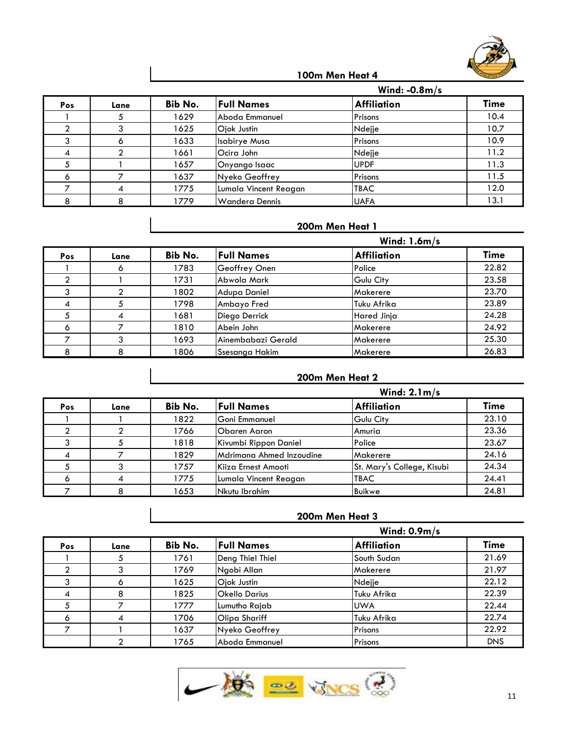

|     |      |         | Wind: $-0.8m/s$       |                    |             |  |  |  |
|-----|------|---------|-----------------------|--------------------|-------------|--|--|--|
| Pos | Lane | Bib No. | <b>Full Names</b>     | <b>Affiliation</b> | <b>Time</b> |  |  |  |
|     |      | 1629    | Aboda Emmanuel        | Prisons            | 10.4        |  |  |  |
|     |      | 1625    | Ojok Justin           | Ndejje             | 10.7        |  |  |  |
|     |      | 1633    | <b>Isabirye Musa</b>  | Prisons            | 10.9        |  |  |  |
|     |      | 1661    | Ocira John            | Ndejje             | 11.2        |  |  |  |
|     |      | 1657    | Onyango Isaac         | <b>UPDF</b>        | 11.3        |  |  |  |
|     |      | 1637    | Nyeko Geoffrey        | Prisons            | 11.5        |  |  |  |
|     |      | 1775    | Lumala Vincent Reagan | <b>TBAC</b>        | 12.0        |  |  |  |
|     | o    | 1779    | <b>Wandera Dennis</b> | <b>UAFA</b>        | 13.1        |  |  |  |

# **200m Men Heat 1**

|              |      | Wind: $1.6m/s$ |                    |                    |             |  |  |
|--------------|------|----------------|--------------------|--------------------|-------------|--|--|
| Pos          | Lane | Bib No.        | <b>Full Names</b>  | <b>Affiliation</b> | <b>Time</b> |  |  |
|              |      | 1783           | Geoffrey Onen      | Police             | 22.82       |  |  |
|              |      | 1731           | Abwola Mark        | Gulu City          | 23.58       |  |  |
|              |      | 1802           | Adupa Daniel       | Makerere           | 23.70       |  |  |
|              |      | 1798           | Ambayo Fred        | Tuku Afrika        | 23.89       |  |  |
|              |      | 1681           | Diego Derrick      | Hared Jinja        | 24.28       |  |  |
| <sup>6</sup> |      | 1810           | Abein John         | Makerere           | 24.92       |  |  |
|              |      | 1693           | Ainembabazi Gerald | Makerere           | 25.30       |  |  |
|              | 8    | 1806           | Ssesanga Hakim     | Makerere           | 26.83       |  |  |

#### **200m Men Heat 2**

|     |      |         | Wind: $2.1 m/s$          |                            |             |  |
|-----|------|---------|--------------------------|----------------------------|-------------|--|
| Pos | Lane | Bib No. | <b>Full Names</b>        | <b>Affiliation</b>         | <b>Time</b> |  |
|     |      | 1822    | Goni Emmanuel            | Gulu City                  | 23.10       |  |
|     |      | 1766    | Obaren Aaron             | Amuria                     | 23.36       |  |
|     |      | 1818    | Kivumbi Rippon Daniel    | Police                     | 23.67       |  |
|     |      | 1829    | Mdrimana Ahmed Inzoudine | Makerere                   | 24.16       |  |
|     |      | 1757    | Kiiza Ernest Amooti      | St. Mary's College, Kisubi | 24.34       |  |
|     |      | 1775    | Lumala Vincent Reagan    | <b>TBAC</b>                | 24.41       |  |
|     |      | 1653    | Nkutu Ibrahim            | Buikwe                     | 24.81       |  |

#### **200m Men Heat 3**

|     |      |         |                   | Wind: $0.9m/s$     |             |  |
|-----|------|---------|-------------------|--------------------|-------------|--|
| Pos | Lane | Bib No. | <b>Full Names</b> | <b>Affiliation</b> | <b>Time</b> |  |
|     |      | 1761    | Deng Thiel Thiel  | South Sudan        | 21.69       |  |
|     |      | 1769    | Ngobi Allan       | Makerere           | 21.97       |  |
|     |      | 1625    | Ojok Justin       | Ndejje             | 22.12       |  |
|     |      | 1825    | Okello Darius     | Tuku Afrika        | 22.39       |  |
|     |      | 1777    | Lumutho Rajab     | <b>UWA</b>         | 22.44       |  |
| Ô   |      | 1706    | Olipa Shariff     | Tuku Afrika        | 22.74       |  |
|     |      | 1637    | Nyeko Geoffrey    | Prisons            | 22.92       |  |
|     |      | 1765    | Aboda Emmanuel    | Prisons            | <b>DNS</b>  |  |

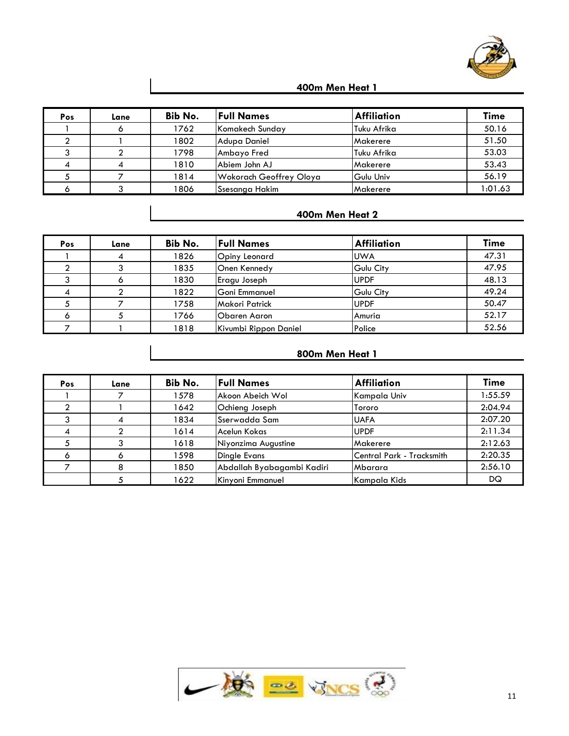

| Pos | Lane | Bib No. | <b>Full Names</b>       | <b>Affiliation</b> | <b>Time</b> |
|-----|------|---------|-------------------------|--------------------|-------------|
|     |      | 1762    | Komakech Sunday         | Tuku Afrika        | 50.16       |
|     |      | 1802    | Adupa Daniel            | Makerere           | 51.50       |
|     |      | 1798    | Ambayo Fred             | Tuku Afrika        | 53.03       |
|     |      | 1810    | Abiem John AJ           | Makerere           | 53.43       |
|     |      | 1814    | Wokorach Geoffrey Oloya | Gulu Univ          | 56.19       |
|     |      | 1806    | Ssesanga Hakim          | Makerere           | 1:01.63     |

#### **400m Men Heat 2**

| Pos | Lane | Bib No. | <b>Full Names</b>     | <b>Affiliation</b> | <b>Time</b> |
|-----|------|---------|-----------------------|--------------------|-------------|
|     |      | 1826    | Opiny Leonard         | <b>UWA</b>         | 47.31       |
|     |      | 1835    | Onen Kennedy          | <b>Gulu City</b>   | 47.95       |
|     |      | 1830    | Eragu Joseph          | <b>UPDF</b>        | 48.13       |
|     |      | 1822    | lGoni Emmanuel        | Gulu City          | 49.24       |
|     |      | 1758    | <b>Makori Patrick</b> | <b>UPDF</b>        | 50.47       |
|     |      | 1766    | Obaren Aaron          | Amuria             | 52.17       |
|     |      | 1818    | Kivumbi Rippon Daniel | Police             | 52.56       |

# **800m Men Heat 1**

| Pos | Lane | Bib No. | <b>Full Names</b>          | <b>Affiliation</b>        | <b>Time</b> |
|-----|------|---------|----------------------------|---------------------------|-------------|
|     |      | 1578    | Akoon Abeich Wol           | Kampala Univ              | 1:55.59     |
|     |      | 1642    | Ochieng Joseph             | Tororo                    | 2:04.94     |
|     |      | 1834    | <b>Sserwadda Sam</b>       | <b>UAFA</b>               | 2:07.20     |
|     |      | 1614    | Acelun Kokas               | <b>UPDF</b>               | 2:11.34     |
|     |      | 1618    | Niyonzima Augustine        | Makerere                  | 2:12.63     |
|     |      | 1598    | <b>Dinale Evans</b>        | Central Park - Tracksmith | 2:20.35     |
|     |      | 1850    | Abdallah Byabagambi Kadiri | Mbarara                   | 2:56.10     |
|     |      | 1622    | Kinyoni Emmanuel           | Kampala Kids              | DQ.         |

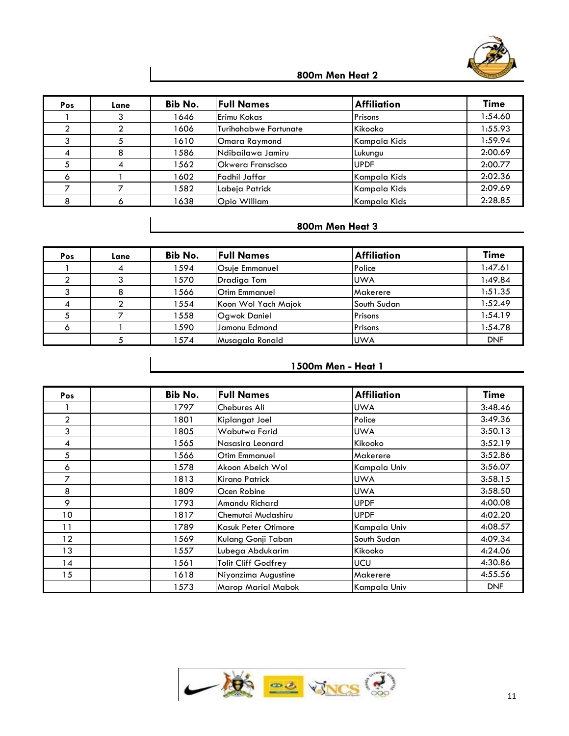

| Pos | Lane | Bib No. | <b>Full Names</b>        | <b>Affiliation</b> | <b>Time</b> |
|-----|------|---------|--------------------------|--------------------|-------------|
|     |      | 1646    | <b>Erimu Kokas</b>       | Prisons            | 1:54.60     |
|     |      | 1606    | Turihohabwe Fortunate    | Kikooko            | 1:55.93     |
|     |      | 1610    | Omara Raymond            | Kampala Kids       | 1:59.94     |
|     |      | 1586    | Ndibailawa Jamiru        | Lukungu            | 2:00.69     |
|     |      | 1562    | <b>Okwera Franscisco</b> | <b>UPDF</b>        | 2:00.77     |
|     |      | 1602    | Fadhil Jaffar            | Kampala Kids       | 2:02.36     |
|     |      | 1582    | Labeja Patrick           | Kampala Kids       | 2:09.69     |
|     |      | 1638    | Opio William             | Kampala Kids       | 2:28.85     |

# **800m Men Heat 3**

| <b>Pos</b> | Lane | Bib No. | <b>Full Names</b>    | <b>Affiliation</b> | <b>Time</b> |
|------------|------|---------|----------------------|--------------------|-------------|
|            |      | 1594    | Osuje Emmanuel       | Police             | 1:47.61     |
|            |      | 1570    | Dradiaa Tom          | <b>UWA</b>         | 1:49.84     |
|            |      | 1566    | <b>Otim Emmanuel</b> | Makerere           | 1:51.35     |
|            |      | 1554    | Koon Wol Yach Majok  | South Sudan        | 1:52.49     |
|            |      | 1558    | <b>Ogwok Daniel</b>  | Prisons            | 1:54.19     |
|            |      | 1590    | Jamonu Edmond        | Prisons            | 1:54.78     |
|            |      | 1574    | Musagala Ronald      | <b>UWA</b>         | <b>DNF</b>  |

# **1500m Men - Heat 1**

| Pos            | Bib No. | <b>Full Names</b>          | <b>Affiliation</b> | <b>Time</b> |
|----------------|---------|----------------------------|--------------------|-------------|
|                | 1797    | Chebures Ali               | <b>UWA</b>         | 3:48.46     |
| $\overline{2}$ | 1801    | Kiplangat Joel             | Police             | 3:49.36     |
| 3              | 1805    | Wabutwa Farid              | <b>UWA</b>         | 3:50.13     |
| 4              | 1565    | Nasasira Leonard           | Kikooko            | 3:52.19     |
| 5              | 566     | Otim Emmanuel              | Makerere           | 3:52.86     |
| 6              | 1578    | Akoon Abeich Wol           | Kampala Univ       | 3:56.07     |
| 7              | 1813    | Kirano Patrick             | <b>UWA</b>         | 3:58.15     |
| 8              | 1809    | Ocen Robine                | <b>UWA</b>         | 3:58.50     |
| 9              | 1793    | Amandu Richard             | <b>UPDF</b>        | 4:00.08     |
| 10             | 1817    | Chemutai Mudashiru         | <b>UPDF</b>        | 4:02.20     |
| 11             | 1789    | <b>Kasuk Peter Otimore</b> | Kampala Univ       | 4:08.57     |
| 12             | 1569.   | Kulang Gonji Taban         | South Sudan        | 4:09.34     |
| 13             | 1557    | Lubega Abdukarim           | Kikooko            | 4:24.06     |
| 14             | 1561    | Tolit Cliff Godfrey        | <b>UCU</b>         | 4:30.86     |
| 15             | 1618    | Niyonzima Augustine        | Makerere           | 4:55.56     |
|                | 1573    | <b>Marop Marial Mabok</b>  | Kampala Univ       | <b>DNF</b>  |

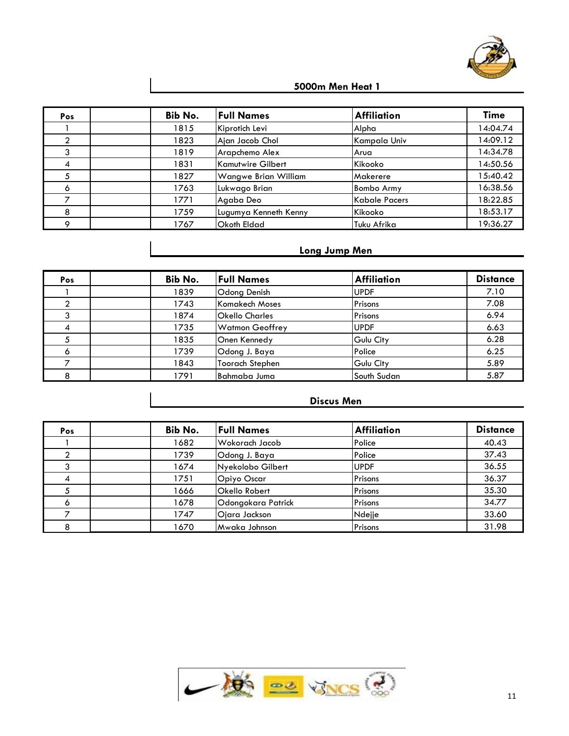

| Pos | Bib No. | <b>Full Names</b>     | <b>Affiliation</b>   | <b>Time</b> |
|-----|---------|-----------------------|----------------------|-------------|
|     | 1815    | Kiprotich Levi        | Alpha                | 14:04.74    |
|     | 1823    | Ajan Jacob Chol       | Kampala Univ         | 14:09.12    |
| ົ   | 1819    | Arapchemo Alex        | Arua                 | 14:34.78    |
|     | 1831    | Kamutwire Gilbert     | Kikooko              | 14:50.56    |
|     | 1827    | Wangwe Brian William  | Makerere             | 15:40.42    |
| 6   | 1763    | Lukwago Brian         | <b>Bombo Army</b>    | 16:38.56    |
|     | 1771    | Agaba Deo             | <b>Kabale Pacers</b> | 18:22.85    |
| 8   | 1759    | Lugumya Kenneth Kenny | Kikooko              | 18:53.17    |
|     | 1767    | Okoth Eldad           | Tuku Afrika          | 19:36.27    |

#### **Long Jump Men**

| Pos    | Bib No. | <b>Full Names</b>      | <b>Affiliation</b> | <b>Distance</b> |
|--------|---------|------------------------|--------------------|-----------------|
|        | 1839    | Odong Denish           | <b>UPDF</b>        | 7.10            |
|        | 1743    | Komakech Moses         | Prisons            | 7.08            |
|        | 1874    | <b>Okello Charles</b>  | Prisons            | 6.94            |
| 4      | 1735    | <b>Watmon Geoffrey</b> | UPDF               | 6.63            |
|        | 1835    | Onen Kennedy           | Gulu City          | 6.28            |
|        | 1739    | Odong J. Baya          | Police             | 6.25            |
|        | 1843    | <b>Toorach Stephen</b> | Gulu City          | 5.89            |
| ۰<br>o | 1791    | Bahmaba Juma           | South Sudan        | 5.87            |

# **Discus Men**

| Pos | Bib No. | <b>Full Names</b>  | <b>Affiliation</b> | <b>Distance</b> |
|-----|---------|--------------------|--------------------|-----------------|
|     | 1682    | Wokorach Jacob     | Police             | 40.43           |
|     | 1739    | Odong J. Baya      | Police             | 37.43           |
|     | 1674    | Nyekolobo Gilbert  | <b>UPDF</b>        | 36.55           |
| 4   | 1751    | Opiyo Oscar        | Prisons            | 36.37           |
|     | 1666    | Okello Robert      | Prisons            | 35.30           |
|     | 1678    | Odongokara Patrick | Prisons            | 34.77           |
|     | 1747    | Ojara Jackson      | Ndejje             | 33.60           |
|     | 1670    | Mwaka Johnson      | Prisons            | 31.98           |